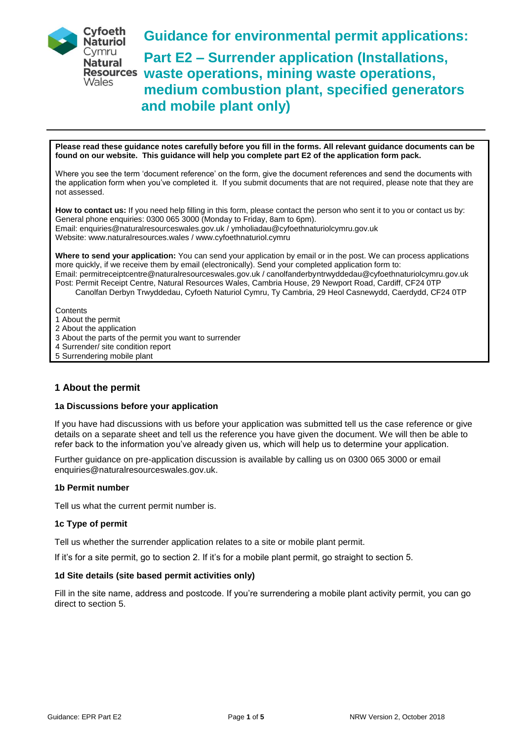

**Guidance for environmental permit applications:**

**Part E2 – Surrender application (Installations, waste operations, mining waste operations, medium combustion plant, specified generators and mobile plant only)**

**Please read these guidance notes carefully before you fill in the forms. All relevant guidance documents can be found on our website. This guidance will help you complete part E2 of the application form pack.**

Where you see the term 'document reference' on the form, give the document references and send the documents with the application form when you've completed it. If you submit documents that are not required, please note that they are not assessed.

**How to contact us:** If you need help filling in this form, please contact the person who sent it to you or contact us by: General phone enquiries: 0300 065 3000 (Monday to Friday, 8am to 6pm). Email: enquiries@naturalresourceswales.gov.uk / ymholiadau@cyfoethnaturiolcymru.gov.uk Website: www.naturalresources.wales / www.cyfoethnaturiol.cymru

**Where to send your application:** You can send your application by email or in the post. We can process applications more quickly, if we receive them by email (electronically). Send your completed application form to: Email: permitreceiptcentre@naturalresourceswales.gov.uk / canolfanderbyntrwyddedau@cyfoethnaturiolcymru.gov.uk Post: Permit Receipt Centre, Natural Resources Wales, Cambria House, 29 Newport Road, Cardiff, CF24 0TP Canolfan Derbyn Trwyddedau, Cyfoeth Naturiol Cymru, Ty Cambria, 29 Heol Casnewydd, Caerdydd, CF24 0TP

**Contents** 

- 1 About the permit
- 2 About the application
- 3 About the parts of the permit you want to surrender
- 4 Surrender/ site condition report
- 5 Surrendering mobile plant

# **1 About the permit**

#### **1a Discussions before your application**

If you have had discussions with us before your application was submitted tell us the case reference or give details on a separate sheet and tell us the reference you have given the document. We will then be able to refer back to the information you've already given us, which will help us to determine your application.

Further guidance on pre-application discussion is available by calling us on 0300 065 3000 or email enquiries@naturalresourceswales.gov.uk.

## **1b Permit number**

Tell us what the current permit number is.

#### **1c Type of permit**

Tell us whether the surrender application relates to a site or mobile plant permit.

If it's for a site permit, go to section 2. If it's for a mobile plant permit, go straight to section 5.

## **1d Site details (site based permit activities only)**

Fill in the site name, address and postcode. If you're surrendering a mobile plant activity permit, you can go direct to section 5.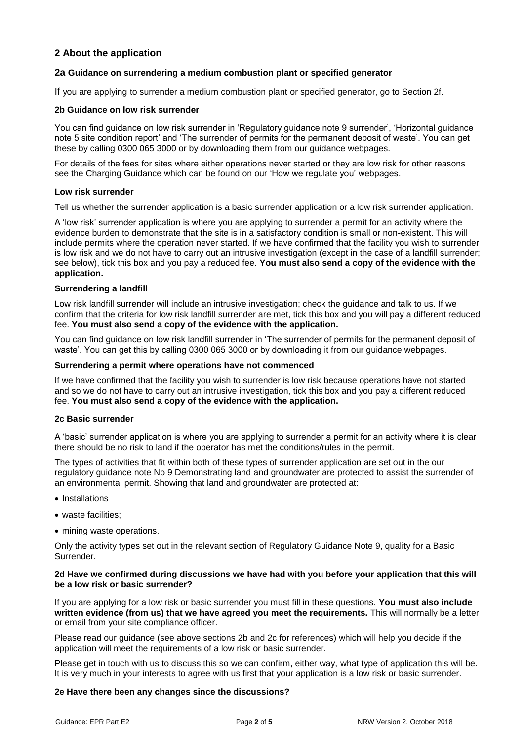# **2 About the application**

## **2a Guidance on surrendering a medium combustion plant or specified generator**

If you are applying to surrender a medium combustion plant or specified generator, go to Section 2f.

## **2b Guidance on low risk surrender**

You can find guidance on low risk surrender in 'Regulatory guidance note 9 surrender', 'Horizontal guidance note 5 site condition report' and 'The surrender of permits for the permanent deposit of waste'. You can get these by calling 0300 065 3000 or by downloading them from our guidance webpages.

For details of the fees for sites where either operations never started or they are low risk for other reasons see the Charging Guidance which can be found on our 'How we regulate you' webpages.

#### **Low risk surrender**

Tell us whether the surrender application is a basic surrender application or a low risk surrender application.

A 'low risk' surrender application is where you are applying to surrender a permit for an activity where the evidence burden to demonstrate that the site is in a satisfactory condition is small or non-existent. This will include permits where the operation never started. If we have confirmed that the facility you wish to surrender is low risk and we do not have to carry out an intrusive investigation (except in the case of a landfill surrender; see below), tick this box and you pay a reduced fee. **You must also send a copy of the evidence with the application.**

## **Surrendering a landfill**

Low risk landfill surrender will include an intrusive investigation; check the guidance and talk to us. If we confirm that the criteria for low risk landfill surrender are met, tick this box and you will pay a different reduced fee. **You must also send a copy of the evidence with the application.**

You can find guidance on low risk landfill surrender in 'The surrender of permits for the permanent deposit of waste'. You can get this by calling 0300 065 3000 or by downloading it from our guidance webpages.

#### **Surrendering a permit where operations have not commenced**

If we have confirmed that the facility you wish to surrender is low risk because operations have not started and so we do not have to carry out an intrusive investigation, tick this box and you pay a different reduced fee. **You must also send a copy of the evidence with the application.**

## **2c Basic surrender**

A 'basic' surrender application is where you are applying to surrender a permit for an activity where it is clear there should be no risk to land if the operator has met the conditions/rules in the permit.

The types of activities that fit within both of these types of surrender application are set out in the our regulatory guidance note No 9 Demonstrating land and groundwater are protected to assist the surrender of an environmental permit. Showing that land and groundwater are protected at:

- Installations
- waste facilities;
- mining waste operations.

Only the activity types set out in the relevant section of Regulatory Guidance Note 9, quality for a Basic Surrender.

#### **2d Have we confirmed during discussions we have had with you before your application that this will be a low risk or basic surrender?**

If you are applying for a low risk or basic surrender you must fill in these questions. **You must also include written evidence (from us) that we have agreed you meet the requirements.** This will normally be a letter or email from your site compliance officer.

Please read our guidance (see above sections 2b and 2c for references) which will help you decide if the application will meet the requirements of a low risk or basic surrender.

Please get in touch with us to discuss this so we can confirm, either way, what type of application this will be. It is very much in your interests to agree with us first that your application is a low risk or basic surrender.

#### **2e Have there been any changes since the discussions?**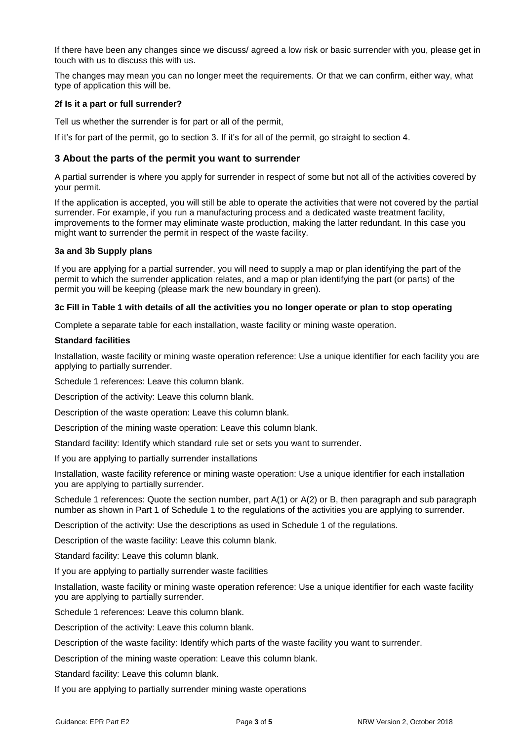If there have been any changes since we discuss/ agreed a low risk or basic surrender with you, please get in touch with us to discuss this with us.

The changes may mean you can no longer meet the requirements. Or that we can confirm, either way, what type of application this will be.

#### **2f Is it a part or full surrender?**

Tell us whether the surrender is for part or all of the permit,

If it's for part of the permit, go to section 3. If it's for all of the permit, go straight to section 4.

## **3 About the parts of the permit you want to surrender**

A partial surrender is where you apply for surrender in respect of some but not all of the activities covered by your permit.

If the application is accepted, you will still be able to operate the activities that were not covered by the partial surrender. For example, if you run a manufacturing process and a dedicated waste treatment facility, improvements to the former may eliminate waste production, making the latter redundant. In this case you might want to surrender the permit in respect of the waste facility.

#### **3a and 3b Supply plans**

If you are applying for a partial surrender, you will need to supply a map or plan identifying the part of the permit to which the surrender application relates, and a map or plan identifying the part (or parts) of the permit you will be keeping (please mark the new boundary in green).

#### **3c Fill in Table 1 with details of all the activities you no longer operate or plan to stop operating**

Complete a separate table for each installation, waste facility or mining waste operation.

#### **Standard facilities**

Installation, waste facility or mining waste operation reference: Use a unique identifier for each facility you are applying to partially surrender.

Schedule 1 references: Leave this column blank.

Description of the activity: Leave this column blank.

Description of the waste operation: Leave this column blank.

Description of the mining waste operation: Leave this column blank.

Standard facility: Identify which standard rule set or sets you want to surrender.

If you are applying to partially surrender installations

Installation, waste facility reference or mining waste operation: Use a unique identifier for each installation you are applying to partially surrender.

Schedule 1 references: Quote the section number, part A(1) or A(2) or B, then paragraph and sub paragraph number as shown in Part 1 of Schedule 1 to the regulations of the activities you are applying to surrender.

Description of the activity: Use the descriptions as used in Schedule 1 of the regulations.

Description of the waste facility: Leave this column blank.

Standard facility: Leave this column blank.

If you are applying to partially surrender waste facilities

Installation, waste facility or mining waste operation reference: Use a unique identifier for each waste facility you are applying to partially surrender.

Schedule 1 references: Leave this column blank.

Description of the activity: Leave this column blank.

Description of the waste facility: Identify which parts of the waste facility you want to surrender.

Description of the mining waste operation: Leave this column blank.

Standard facility: Leave this column blank.

If you are applying to partially surrender mining waste operations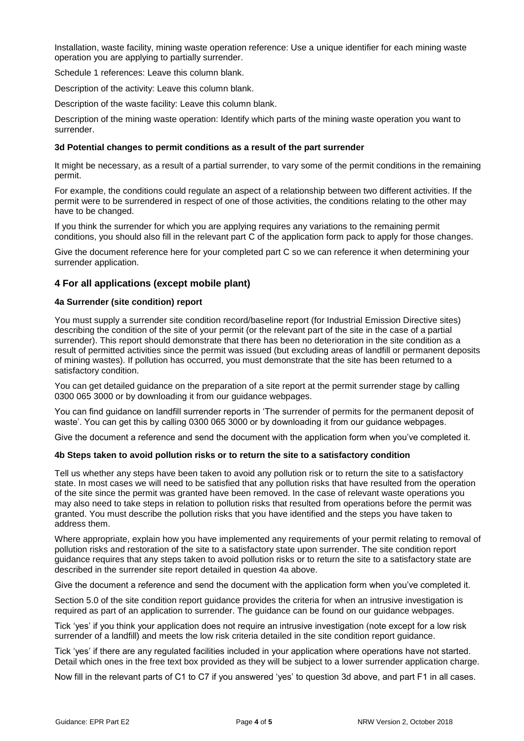Installation, waste facility, mining waste operation reference: Use a unique identifier for each mining waste operation you are applying to partially surrender.

Schedule 1 references: Leave this column blank.

Description of the activity: Leave this column blank.

Description of the waste facility: Leave this column blank.

Description of the mining waste operation: Identify which parts of the mining waste operation you want to surrender.

#### **3d Potential changes to permit conditions as a result of the part surrender**

It might be necessary, as a result of a partial surrender, to vary some of the permit conditions in the remaining permit.

For example, the conditions could regulate an aspect of a relationship between two different activities. If the permit were to be surrendered in respect of one of those activities, the conditions relating to the other may have to be changed.

If you think the surrender for which you are applying requires any variations to the remaining permit conditions, you should also fill in the relevant part C of the application form pack to apply for those changes.

Give the document reference here for your completed part C so we can reference it when determining your surrender application.

## **4 For all applications (except mobile plant)**

#### **4a Surrender (site condition) report**

You must supply a surrender site condition record/baseline report (for Industrial Emission Directive sites) describing the condition of the site of your permit (or the relevant part of the site in the case of a partial surrender). This report should demonstrate that there has been no deterioration in the site condition as a result of permitted activities since the permit was issued (but excluding areas of landfill or permanent deposits of mining wastes). If pollution has occurred, you must demonstrate that the site has been returned to a satisfactory condition.

You can get detailed guidance on the preparation of a site report at the permit surrender stage by calling 0300 065 3000 or by downloading it from our guidance webpages.

You can find guidance on landfill surrender reports in 'The surrender of permits for the permanent deposit of waste'. You can get this by calling 0300 065 3000 or by downloading it from our guidance webpages.

Give the document a reference and send the document with the application form when you've completed it.

#### **4b Steps taken to avoid pollution risks or to return the site to a satisfactory condition**

Tell us whether any steps have been taken to avoid any pollution risk or to return the site to a satisfactory state. In most cases we will need to be satisfied that any pollution risks that have resulted from the operation of the site since the permit was granted have been removed. In the case of relevant waste operations you may also need to take steps in relation to pollution risks that resulted from operations before the permit was granted. You must describe the pollution risks that you have identified and the steps you have taken to address them.

Where appropriate, explain how you have implemented any requirements of your permit relating to removal of pollution risks and restoration of the site to a satisfactory state upon surrender. The site condition report guidance requires that any steps taken to avoid pollution risks or to return the site to a satisfactory state are described in the surrender site report detailed in question 4a above.

Give the document a reference and send the document with the application form when you've completed it.

Section 5.0 of the site condition report guidance provides the criteria for when an intrusive investigation is required as part of an application to surrender. The guidance can be found on our guidance webpages.

Tick 'yes' if you think your application does not require an intrusive investigation (note except for a low risk surrender of a landfill) and meets the low risk criteria detailed in the site condition report guidance.

Tick 'yes' if there are any regulated facilities included in your application where operations have not started. Detail which ones in the free text box provided as they will be subject to a lower surrender application charge.

Now fill in the relevant parts of C1 to C7 if you answered 'yes' to question 3d above, and part F1 in all cases.